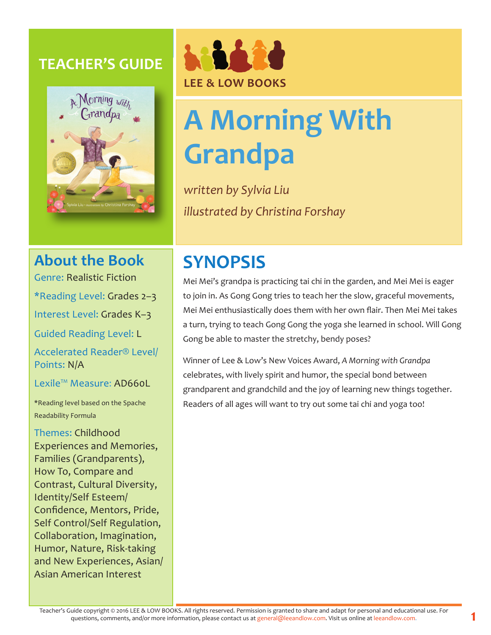### **TEACHER'S GUIDE**





# **A Morning With Grandpa**

*written by Sylvia Liu illustrated by Christina Forshay*

### **About the Book**

Genre: Realistic Fiction

\*Reading Level: Grades 2–3

Interest Level: Grades K–3

Guided Reading Level: L

Accelerated Reader® Level/ Points: N/A

Lexile™ Measure: AD660L

\*Reading level based on the Spache Readability Formula

Themes: Childhood Experiences and Memories, Families (Grandparents), How To, Compare and Contrast, Cultural Diversity, Identity/Self Esteem/ Confidence, Mentors, Pride, Self Control/Self Regulation, Collaboration, Imagination, Humor, Nature, Risk-taking and New Experiences, Asian/ Asian American Interest

## **SYNOPSIS**

Mei Mei's grandpa is practicing tai chi in the garden, and Mei Mei is eager to join in. As Gong Gong tries to teach her the slow, graceful movements, Mei Mei enthusiastically does them with her own flair. Then Mei Mei takes a turn, trying to teach Gong Gong the yoga she learned in school. Will Gong Gong be able to master the stretchy, bendy poses?

Winner of Lee & Low's New Voices Award, *A Morning with Grandpa* celebrates, with lively spirit and humor, the special bond between grandparent and grandchild and the joy of learning new things together. Readers of all ages will want to try out some tai chi and yoga too!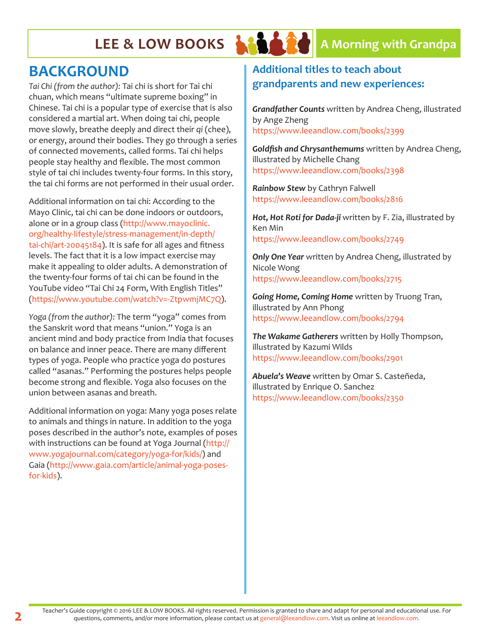

### **BACKGROUND**

*Tai Chi (from the author):* Tai chi is short for Tai chi chuan, which means "ultimate supreme boxing" in Chinese. Tai chi is a popular type of exercise that is also considered a martial art. When doing tai chi, people move slowly, breathe deeply and direct their *qi* (chee), or energy, around their bodies. They go through a series of connected movements, called forms. Tai chi helps people stay healthy and flexible. The most common style of tai chi includes twenty-four forms. In this story, the tai chi forms are not performed in their usual order.

Additional information on tai chi: According to the Mayo Clinic, tai chi can be done indoors or outdoors, alone or in a group class (http://www.mayoclinic. org/healthy-lifestyle/stress-management/in-depth/ tai-chi/art-20045184). It is safe for all ages and fitness levels. The fact that it is a low impact exercise may make it appealing to older adults. A demonstration of the twenty-four forms of tai chi can be found in the YouTube video "Tai Chi 24 Form, With English Titles" (https://www.youtube.com/watch?v=-ZtpwmjMC7Q).

*Yoga (from the author):* The term "yoga" comes from the Sanskrit word that means "union." Yoga is an ancient mind and body practice from India that focuses on balance and inner peace. There are many different types of yoga. People who practice yoga do postures called "asanas." Performing the postures helps people become strong and flexible. Yoga also focuses on the union between asanas and breath.

Additional information on yoga: Many yoga poses relate to animals and things in nature. In addition to the yoga poses described in the author's note, examples of poses with instructions can be found at Yoga Journal (http:// www.yogajournal.com/category/yoga-for/kids/) and Gaia (http://www.gaia.com/article/animal-yoga-posesfor-kids).

### **Additional titles to teach about grandparents and new experiences:**

*Grandfather Counts* written by Andrea Cheng, illustrated by Ange Zheng https://www.leeandlow.com/books/2399

*Goldfish and Chrysanthemums* written by Andrea Cheng, illustrated by Michelle Chang https://www.leeandlow.com/books/2398

*Rainbow Stew* by Cathryn Falwell https://www.leeandlow.com/books/2816

*Hot, Hot Roti for Dada-ji* written by F. Zia, illustrated by Ken Min https://www.leeandlow.com/books/2749

*Only One Year* written by Andrea Cheng, illustrated by Nicole Wong https://www.leeandlow.com/books/2715

*Going Home, Coming Home* written by Truong Tran, illustrated by Ann Phong https://www.leeandlow.com/books/2794

*The Wakame Gatherers* written by Holly Thompson, illustrated by Kazumi Wilds https://www.leeandlow.com/books/2901

*Abuela's Weave* written by Omar S. Casteñeda, illustrated by Enrique O. Sanchez https://www.leeandlow.com/books/2350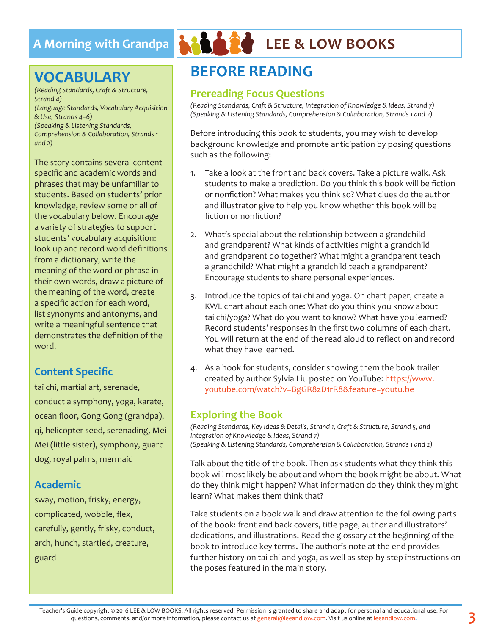### **VOCABULARY**

*(Reading Standards, Craft & Structure, Strand 4) (Language Standards, Vocabulary Acquisition & Use, Strands 4–6) (Speaking & Listening Standards, Comprehension & Collaboration, Strands 1 and 2)*

The story contains several contentspecific and academic words and phrases that may be unfamiliar to students. Based on students' prior knowledge, review some or all of the vocabulary below. Encourage a variety of strategies to support students' vocabulary acquisition: look up and record word definitions from a dictionary, write the meaning of the word or phrase in their own words, draw a picture of the meaning of the word, create a specific action for each word, list synonyms and antonyms, and write a meaningful sentence that demonstrates the definition of the word.

### **Content Specific**

tai chi, martial art, serenade, conduct a symphony, yoga, karate, ocean floor, Gong Gong (grandpa), qi, helicopter seed, serenading, Mei Mei (little sister), symphony, guard dog, royal palms, mermaid

#### **Academic**

sway, motion, frisky, energy, complicated, wobble, flex, carefully, gently, frisky, conduct, arch, hunch, startled, creature, guard



## **A Morning with Grandpa LEE & LOW BOOKS**

### **BEFORE READING**

#### **Prereading Focus Questions**

*(Reading Standards, Craft & Structure, Integration of Knowledge & Ideas, Strand 7) (Speaking & Listening Standards, Comprehension & Collaboration, Strands 1 and 2)*

Before introducing this book to students, you may wish to develop background knowledge and promote anticipation by posing questions such as the following:

- 1. Take a look at the front and back covers. Take a picture walk. Ask students to make a prediction. Do you think this book will be fiction or nonfiction? What makes you think so? What clues do the author and illustrator give to help you know whether this book will be fiction or nonfiction?
- 2. What's special about the relationship between a grandchild and grandparent? What kinds of activities might a grandchild and grandparent do together? What might a grandparent teach a grandchild? What might a grandchild teach a grandparent? Encourage students to share personal experiences.
- 3. Introduce the topics of tai chi and yoga. On chart paper, create a KWL chart about each one: What do you think you know about tai chi/yoga? What do you want to know? What have you learned? Record students' responses in the first two columns of each chart. You will return at the end of the read aloud to reflect on and record what they have learned.
- 4. As a hook for students, consider showing them the book trailer created by author Sylvia Liu posted on YouTube: https://www. youtube.com/watch?v=BgGR8zD1rR8&feature=youtu.be

### **Exploring the Book**

*(Reading Standards, Key Ideas & Details, Strand 1, Craft & Structure, Strand 5, and Integration of Knowledge & Ideas, Strand 7) (Speaking & Listening Standards, Comprehension & Collaboration, Strands 1 and 2)*

Talk about the title of the book. Then ask students what they think this book will most likely be about and whom the book might be about. What do they think might happen? What information do they think they might learn? What makes them think that?

Take students on a book walk and draw attention to the following parts of the book: front and back covers, title page, author and illustrators' dedications, and illustrations. Read the glossary at the beginning of the book to introduce key terms. The author's note at the end provides further history on tai chi and yoga, as well as step-by-step instructions on the poses featured in the main story.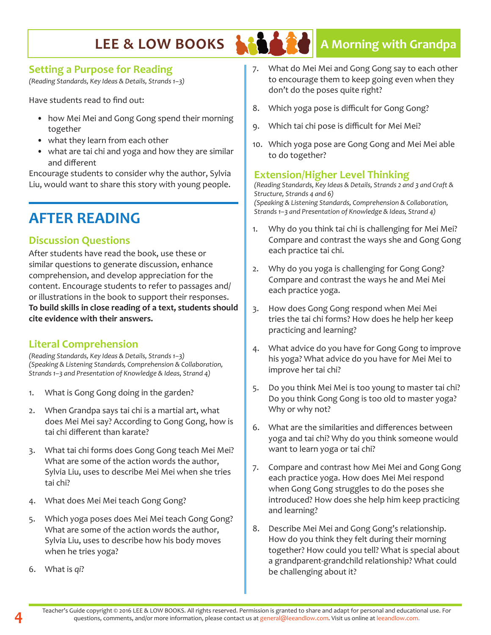## **LEE & LOW BOOKS ARE A Morning with Grandpa**



#### **Setting a Purpose for Reading**

*(Reading Standards, Key Ideas & Details, Strands 1–3)*

Have students read to find out:

- how Mei Mei and Gong Gong spend their morning together
- what they learn from each other
- what are tai chi and yoga and how they are similar and different

Encourage students to consider why the author, Sylvia Liu, would want to share this story with young people.

### **AFTER READING**

### **Discussion Questions**

After students have read the book, use these or similar questions to generate discussion, enhance comprehension, and develop appreciation for the content. Encourage students to refer to passages and/ or illustrations in the book to support their responses. **To build skills in close reading of a text, students should cite evidence with their answers.**

### **Literal Comprehension**

*(Reading Standards, Key Ideas & Details, Strands 1–3) (Speaking & Listening Standards, Comprehension & Collaboration, Strands 1–3 and Presentation of Knowledge & Ideas, Strand 4)*

- 1. What is Gong Gong doing in the garden?
- 2. When Grandpa says tai chi is a martial art, what does Mei Mei say? According to Gong Gong, how is tai chi different than karate?
- 3. What tai chi forms does Gong Gong teach Mei Mei? What are some of the action words the author, Sylvia Liu, uses to describe Mei Mei when she tries tai chi?
- 4. What does Mei Mei teach Gong Gong?
- 5. Which yoga poses does Mei Mei teach Gong Gong? What are some of the action words the author, Sylvia Liu, uses to describe how his body moves when he tries yoga?
- 6. What is *qi*?
- 7. What do Mei Mei and Gong Gong say to each other to encourage them to keep going even when they don't do the poses quite right?
- 8. Which yoga pose is difficult for Gong Gong?
- 9. Which tai chi pose is difficult for Mei Mei?
- 10. Which yoga pose are Gong Gong and Mei Mei able to do together?

### **Extension/Higher Level Thinking**

*(Reading Standards, Key Ideas & Details, Strands 2 and 3 and Craft & Structure, Strands 4 and 6) (Speaking & Listening Standards, Comprehension & Collaboration, Strands 1–3 and Presentation of Knowledge & Ideas, Strand 4)*

- 1. Why do you think tai chi is challenging for Mei Mei? Compare and contrast the ways she and Gong Gong each practice tai chi.
- 2. Why do you yoga is challenging for Gong Gong? Compare and contrast the ways he and Mei Mei each practice yoga.
- 3. How does Gong Gong respond when Mei Mei tries the tai chi forms? How does he help her keep practicing and learning?
- 4. What advice do you have for Gong Gong to improve his yoga? What advice do you have for Mei Mei to improve her tai chi?
- 5. Do you think Mei Mei is too young to master tai chi? Do you think Gong Gong is too old to master yoga? Why or why not?
- 6. What are the similarities and differences between yoga and tai chi? Why do you think someone would want to learn yoga or tai chi?
- 7. Compare and contrast how Mei Mei and Gong Gong each practice yoga. How does Mei Mei respond when Gong Gong struggles to do the poses she introduced? How does she help him keep practicing and learning?
- 8. Describe Mei Mei and Gong Gong's relationship. How do you think they felt during their morning together? How could you tell? What is special about a grandparent-grandchild relationship? What could be challenging about it?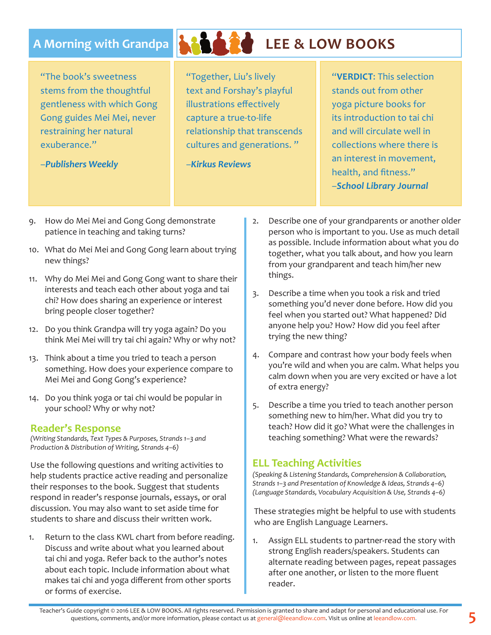## **A Morning with Grandpa LEE & LOW BOOKS**

"The book's sweetness stems from the thoughtful gentleness with which Gong Gong guides Mei Mei, never restraining her natural exuberance."

–*Publishers Weekly* 

"Together, Liu's lively text and Forshay's playful illustrations effectively capture a true-to-life relationship that transcends cultures and generations. "

–*Kirkus Reviews* 

"**VERDICT**: This selection stands out from other yoga picture books for its introduction to tai chi and will circulate well in collections where there is an interest in movement, health, and fitness." –*School Library Journal*

- 9. How do Mei Mei and Gong Gong demonstrate patience in teaching and taking turns?
- 10. What do Mei Mei and Gong Gong learn about trying new things?
- 11. Why do Mei Mei and Gong Gong want to share their interests and teach each other about yoga and tai chi? How does sharing an experience or interest bring people closer together?
- 12. Do you think Grandpa will try yoga again? Do you think Mei Mei will try tai chi again? Why or why not?
- 13. Think about a time you tried to teach a person something. How does your experience compare to Mei Mei and Gong Gong's experience?
- 14. Do you think yoga or tai chi would be popular in your school? Why or why not?

#### **Reader's Response**

*(Writing Standards, Text Types & Purposes, Strands 1–3 and Production & Distribution of Writing, Strands 4–6)* 

Use the following questions and writing activities to help students practice active reading and personalize their responses to the book. Suggest that students respond in reader's response journals, essays, or oral discussion. You may also want to set aside time for students to share and discuss their written work.

1. Return to the class KWL chart from before reading. Discuss and write about what you learned about tai chi and yoga. Refer back to the author's notes about each topic. Include information about what makes tai chi and yoga different from other sports or forms of exercise.

- 2. Describe one of your grandparents or another older person who is important to you. Use as much detail as possible. Include information about what you do together, what you talk about, and how you learn from your grandparent and teach him/her new things.
- 3. Describe a time when you took a risk and tried something you'd never done before. How did you feel when you started out? What happened? Did anyone help you? How? How did you feel after trying the new thing?
- 4. Compare and contrast how your body feels when you're wild and when you are calm. What helps you calm down when you are very excited or have a lot of extra energy?
- 5. Describe a time you tried to teach another person something new to him/her. What did you try to teach? How did it go? What were the challenges in teaching something? What were the rewards?

### **ELL Teaching Activities**

*(Speaking & Listening Standards, Comprehension & Collaboration, Strands 1–3 and Presentation of Knowledge & Ideas, Strands 4–6) (Language Standards, Vocabulary Acquisition & Use, Strands 4–6)*

These strategies might be helpful to use with students who are English Language Learners.

1. Assign ELL students to partner-read the story with strong English readers/speakers. Students can alternate reading between pages, repeat passages after one another, or listen to the more fluent reader.

Teacher's Guide copyright © 2016 LEE & LOW BOOKS. All rights reserved. Permission is granted to share and adapt for personal and educational use. For<br>**● Permission Start of the and to the and form** over information, pleas questions, comments, and/or more information, please contact us at general@leeandlow.com. Visit us online at leeandlow.com.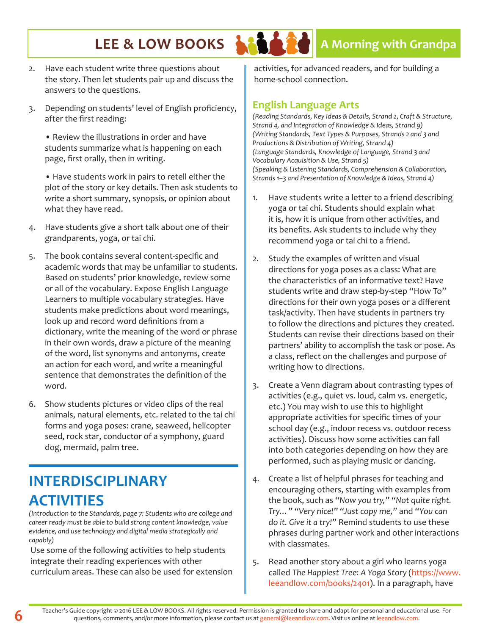## **LEE & LOW BOOKS A MAXE A** Morning with Grandpa

- 2. Have each student write three questions about the story. Then let students pair up and discuss the answers to the questions.
- 3. Depending on students' level of English proficiency, after the first reading:

• Review the illustrations in order and have students summarize what is happening on each page, first orally, then in writing.

• Have students work in pairs to retell either the plot of the story or key details. Then ask students to write a short summary, synopsis, or opinion about what they have read.

- 4. Have students give a short talk about one of their grandparents, yoga, or tai chi.
- 5. The book contains several content-specific and academic words that may be unfamiliar to students. Based on students' prior knowledge, review some or all of the vocabulary. Expose English Language Learners to multiple vocabulary strategies. Have students make predictions about word meanings, look up and record word definitions from a dictionary, write the meaning of the word or phrase in their own words, draw a picture of the meaning of the word, list synonyms and antonyms, create an action for each word, and write a meaningful sentence that demonstrates the definition of the word.
- 6. Show students pictures or video clips of the real animals, natural elements, etc. related to the tai chi forms and yoga poses: crane, seaweed, helicopter seed, rock star, conductor of a symphony, guard dog, mermaid, palm tree.

### **INTERDISCIPLINARY ACTIVITIES**

*(Introduction to the Standards, page 7: Students who are college and career ready must be able to build strong content knowledge, value evidence, and use technology and digital media strategically and capably)*

Use some of the following activities to help students integrate their reading experiences with other curriculum areas. These can also be used for extension

activities, for advanced readers, and for building a home-school connection.

### **English Language Arts**

*(Reading Standards, Key Ideas & Details, Strand 2, Craft & Structure, Strand 4, and Integration of Knowledge & Ideas, Strand 9) (Writing Standards, Text Types & Purposes, Strands 2 and 3 and Productions & Distribution of Writing, Strand 4) (Language Standards, Knowledge of Language, Strand 3 and Vocabulary Acquisition & Use, Strand 5) (Speaking & Listening Standards, Comprehension & Collaboration, Strands 1–3 and Presentation of Knowledge & Ideas, Strand 4)*

- 1. Have students write a letter to a friend describing yoga or tai chi. Students should explain what it is, how it is unique from other activities, and its benefits. Ask students to include why they recommend yoga or tai chi to a friend.
- 2. Study the examples of written and visual directions for yoga poses as a class: What are the characteristics of an informative text? Have students write and draw step-by-step "How To" directions for their own yoga poses or a different task/activity. Then have students in partners try to follow the directions and pictures they created. Students can revise their directions based on their partners' ability to accomplish the task or pose. As a class, reflect on the challenges and purpose of writing how to directions.
- 3. Create a Venn diagram about contrasting types of activities (e.g., quiet vs. loud, calm vs. energetic, etc.) You may wish to use this to highlight appropriate activities for specific times of your school day (e.g., indoor recess vs. outdoor recess activities). Discuss how some activities can fall into both categories depending on how they are performed, such as playing music or dancing.
- 4. Create a list of helpful phrases for teaching and encouraging others, starting with examples from the book, such as *"Now you try," "Not quite right. Try…" "Very nice!" "Just copy me,"* and *"You can do it. Give it a try!"* Remind students to use these phrases during partner work and other interactions with classmates.
- 5. Read another story about a girl who learns yoga called *The Happiest Tree: A Yoga Story* (https://www. leeandlow.com/books/2401). In a paragraph, have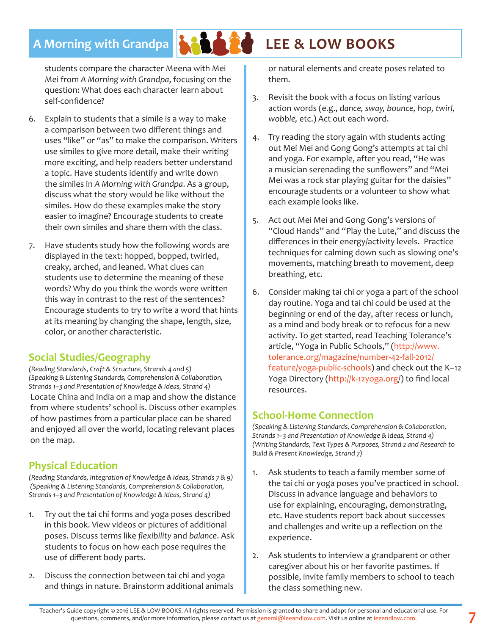

## **A Morning with Grandpa LEE & LOW BOOKS**

students compare the character Meena with Mei Mei from *A Morning with Grandpa*, focusing on the question: What does each character learn about self-confidence?

- 6. Explain to students that a simile is a way to make a comparison between two different things and uses "like" or "as" to make the comparison. Writers use similes to give more detail, make their writing more exciting, and help readers better understand a topic. Have students identify and write down the similes in *A Morning with Grandpa*. As a group, discuss what the story would be like without the similes. How do these examples make the story easier to imagine? Encourage students to create their own similes and share them with the class.
- 7. Have students study how the following words are displayed in the text: hopped, bopped, twirled, creaky, arched, and leaned. What clues can students use to determine the meaning of these words? Why do you think the words were written this way in contrast to the rest of the sentences? Encourage students to try to write a word that hints at its meaning by changing the shape, length, size, color, or another characteristic.

### **Social Studies/Geography**

*(Reading Standards, Craft & Structure, Strands 4 and 5) (Speaking & Listening Standards, Comprehension & Collaboration, Strands 1–3 and Presentation of Knowledge & Ideas, Strand 4)* Locate China and India on a map and show the distance from where students' school is. Discuss other examples of how pastimes from a particular place can be shared and enjoyed all over the world, locating relevant places on the map.

### **Physical Education**

*(Reading Standards, Integration of Knowledge & Ideas, Strands 7 & 9) (Speaking & Listening Standards, Comprehension & Collaboration, Strands 1–3 and Presentation of Knowledge & Ideas, Strand 4)*

- 1. Try out the tai chi forms and yoga poses described in this book. View videos or pictures of additional poses. Discuss terms like *flexibility* and *balance*. Ask students to focus on how each pose requires the use of different body parts.
- 2. Discuss the connection between tai chi and yoga and things in nature. Brainstorm additional animals

or natural elements and create poses related to them.

- 3. Revisit the book with a focus on listing various action words (e.g., *dance, sway, bounce, hop, twirl, wobble,* etc.) Act out each word.
- 4. Try reading the story again with students acting out Mei Mei and Gong Gong's attempts at tai chi and yoga. For example, after you read, "He was a musician serenading the sunflowers" and "Mei Mei was a rock star playing guitar for the daisies" encourage students or a volunteer to show what each example looks like.
- 5. Act out Mei Mei and Gong Gong's versions of "Cloud Hands" and "Play the Lute," and discuss the differences in their energy/activity levels. Practice techniques for calming down such as slowing one's movements, matching breath to movement, deep breathing, etc.
- 6. Consider making tai chi or yoga a part of the school day routine. Yoga and tai chi could be used at the beginning or end of the day, after recess or lunch, as a mind and body break or to refocus for a new activity. To get started, read Teaching Tolerance's article, "Yoga in Public Schools," (http://www. tolerance.org/magazine/number-42-fall-2012/ feature/yoga-public-schools) and check out the K–12 Yoga Directory (http://k-12yoga.org/) to find local resources.

### **School-Home Connection**

*(Speaking & Listening Standards, Comprehension & Collaboration, Strands 1–3 and Presentation of Knowledge & Ideas, Strand 4) (Writing Standards, Text Types & Purposes, Strand 2 and Research to Build & Present Knowledge, Strand 7)*

- 1. Ask students to teach a family member some of the tai chi or yoga poses you've practiced in school. Discuss in advance language and behaviors to use for explaining, encouraging, demonstrating, etc. Have students report back about successes and challenges and write up a reflection on the experience.
- 2. Ask students to interview a grandparent or other caregiver about his or her favorite pastimes. If possible, invite family members to school to teach the class something new.